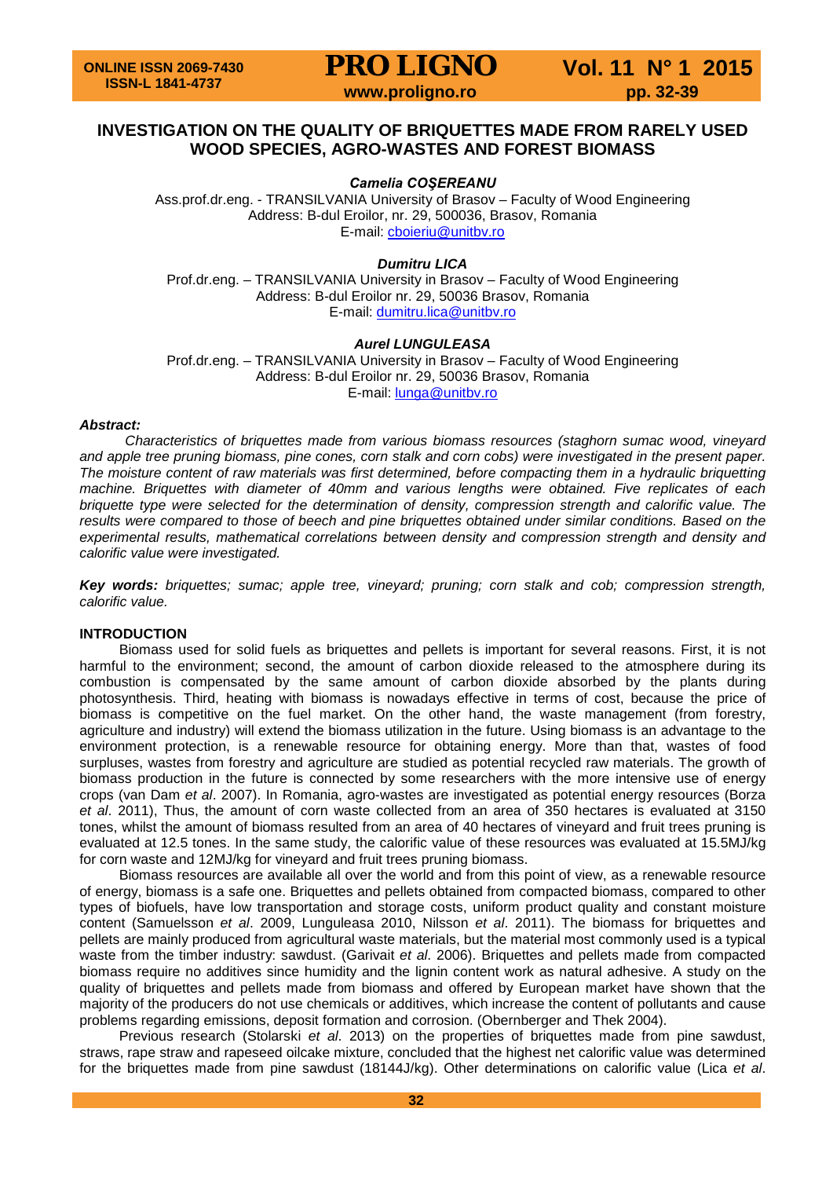**PRO LIGNO** Vol. 11 N° 1 2015<br>www.proligno.ro pp. 32-39

### **INVESTIGATION ON THE QUALITY OF BRIQUETTES MADE FROM RARELY USED WOOD SPECIES, AGRO-WASTES AND FOREST BIOMASS**

*Camelia COŞEREANU*

Ass.prof.dr.eng. - TRANSILVANIA University of Brasov – Faculty of Wood Engineering Address: B-dul Eroilor, nr. 29, 500036, Brasov, Romania E-mail: [cboieriu@unitbv.ro](mailto:cboieriu@unitbv.ro)

*Dumitru LICA*

Prof.dr.eng. – TRANSILVANIA University in Brasov – Faculty of Wood Engineering Address: B-dul Eroilor nr. 29, 50036 Brasov, Romania E-mail: [dumitru.lica@unitbv.ro](mailto:dumitru.lica@unitbv.ro)

### *Aurel LUNGULEASA*

Prof.dr.eng. – TRANSILVANIA University in Brasov – Faculty of Wood Engineering Address: B-dul Eroilor nr. 29, 50036 Brasov, Romania E-mail: [lunga@unitbv.ro](mailto:lunga@unitbv.ro)

#### *Abstract:*

*Characteristics of briquettes made from various biomass resources (staghorn sumac wood, vineyard*  and apple tree pruning biomass, pine cones, corn stalk and corn cobs) were *investigated in the present paper*. *The moisture content of raw materials was first determined, before compacting them in a hydraulic briquetting machine. Briquettes with diameter of 40mm and various lengths were obtained. Five replicates of each briquette type were selected for the determination of density, compression strength and calorific value. The results were compared to those of beech and pine briquettes obtained under similar conditions. Based on the experimental results, mathematical correlations between density and compression strength and density and calorific value were investigated.* 

*Key words: briquettes; sumac; apple tree, vineyard; pruning; corn stalk and cob; compression strength, calorific value.*

### **INTRODUCTION**

Biomass used for solid fuels as briquettes and pellets is important for several reasons. First, it is not harmful to the environment; second, the amount of carbon dioxide released to the atmosphere during its combustion is compensated by the same amount of carbon dioxide absorbed by the plants during photosynthesis. Third, heating with biomass is nowadays effective in terms of cost, because the price of biomass is competitive on the fuel market. On the other hand, the waste management (from forestry, agriculture and industry) will extend the biomass utilization in the future. Using biomass is an advantage to the environment protection, is a renewable resource for obtaining energy. More than that, wastes of food surpluses, wastes from forestry and agriculture are studied as potential recycled raw materials. The growth of biomass production in the future is connected by some researchers with the more intensive use of energy crops (van Dam *et al*. 2007). In Romania, agro-wastes are investigated as potential energy resources (Borza *et al*. 2011), Thus, the amount of corn waste collected from an area of 350 hectares is evaluated at 3150 tones, whilst the amount of biomass resulted from an area of 40 hectares of vineyard and fruit trees pruning is evaluated at 12.5 tones. In the same study, the calorific value of these resources was evaluated at 15.5MJ/kg for corn waste and 12MJ/kg for vineyard and fruit trees pruning biomass.

Biomass resources are available all over the world and from this point of view, as a renewable resource of energy, biomass is a safe one. Briquettes and pellets obtained from compacted biomass, compared to other types of biofuels, have low transportation and storage costs, uniform product quality and constant moisture content (Samuelsson *et al*. 2009, Lunguleasa 2010, Nilsson *et al*. 2011). The biomass for briquettes and pellets are mainly produced from agricultural waste materials, but the material most commonly used is a typical waste from the timber industry: sawdust. (Garivait *et al*. 2006). Briquettes and pellets made from compacted biomass require no additives since humidity and the lignin content work as natural adhesive. A study on the quality of briquettes and pellets made from biomass and offered by European market have shown that the majority of the producers do not use chemicals or additives, which increase the content of pollutants and cause problems regarding emissions, deposit formation and corrosion. (Obernberger and Thek 2004).

Previous research (Stolarski *et al*. 2013) on the properties of briquettes made from pine sawdust, straws, rape straw and rapeseed oilcake mixture, concluded that the highest net calorific value was determined for the briquettes made from pine sawdust (18144J/kg). Other determinations on calorific value (Lica *et al*.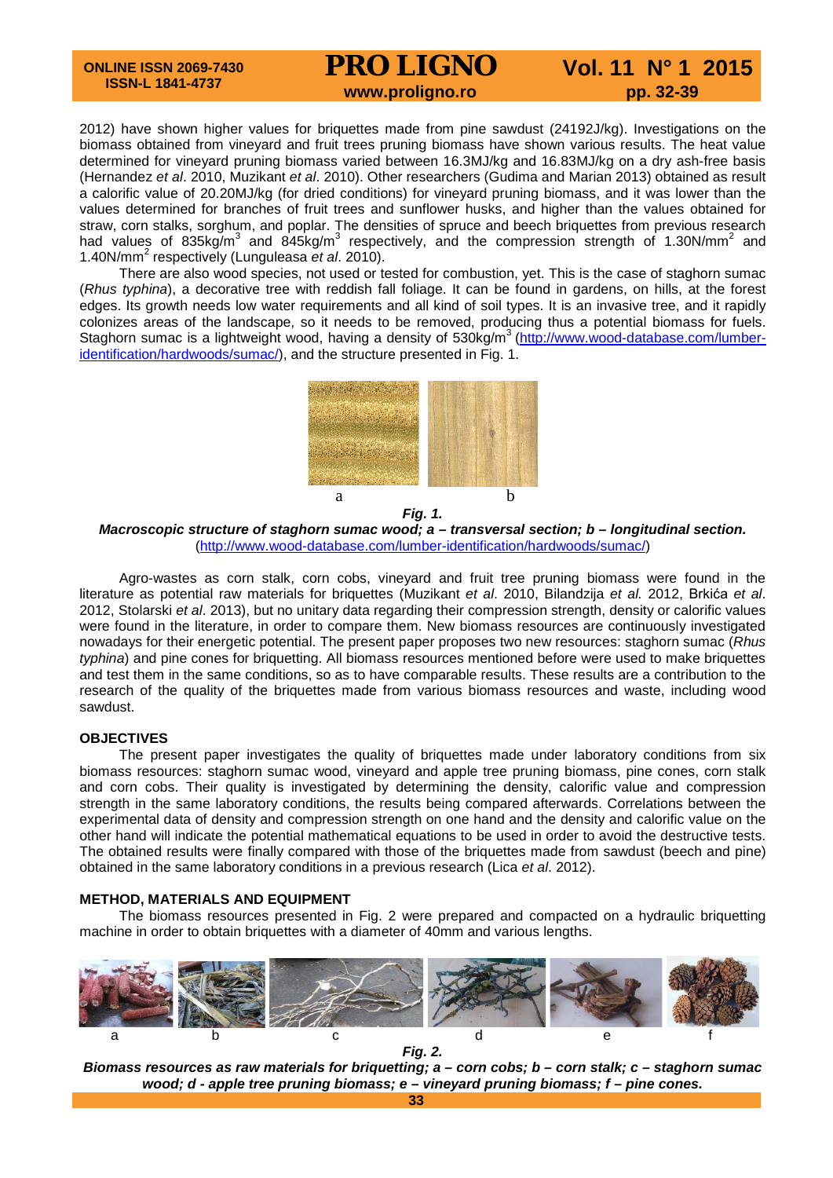# **PRO LIGNO** Vol. 11 N° 1 2015

2012) have shown higher values for briquettes made from pine sawdust (24192J/kg). Investigations on the biomass obtained from vineyard and fruit trees pruning biomass have shown various results. The heat value determined for vineyard pruning biomass varied between 16.3MJ/kg and 16.83MJ/kg on a dry ash-free basis (Hernandez *et al*. 2010, Muzikant *et al*. 2010). Other researchers (Gudima and Marian 2013) obtained as result a calorific value of 20.20MJ/kg (for dried conditions) for vineyard pruning biomass, and it was lower than the values determined for branches of fruit trees and sunflower husks, and higher than the values obtained for straw, corn stalks, sorghum, and poplar. The densities of spruce and beech briquettes from previous research had values of 835kg/m<sup>3</sup> and 845kg/m<sup>3</sup> respectively, and the compression strength of 1.30N/mm<sup>2</sup> and 1.40N/mm<sup>2</sup> respectively (Lunguleasa *et al*. 2010).

There are also wood species, not used or tested for combustion, yet. This is the case of staghorn sumac (*Rhus typhina*), a decorative tree with reddish fall foliage. It can be found in gardens, on hills, at the forest edges. Its growth needs low water requirements and all kind of soil types. It is an invasive tree, and it rapidly colonizes areas of the landscape, so it needs to be removed, producing thus a potential biomass for fuels. Staghorn sumac is a lightweight wood, having a density of 530kg/m<sup>3</sup> [\(http://www.wood-database.com/lumber](http://www.wood-database.com/lumber-identification/hardwoods/sumac/)[identification/hardwoods/sumac/\)](http://www.wood-database.com/lumber-identification/hardwoods/sumac/), and the structure presented in Fig. 1.



*Macroscopic structure of staghorn sumac wood; a – transversal section; b – longitudinal section.*  [\(http://www.wood-database.com/lumber-identification/hardwoods/sumac/\)](http://www.wood-database.com/lumber-identification/hardwoods/sumac/)

Agro-wastes as corn stalk, corn cobs, vineyard and fruit tree pruning biomass were found in the literature as potential raw materials for briquettes (Muzikant *et al*. 2010, Bilandzija *et al.* 2012, Brkića *et al*. 2012, Stolarski *et al*. 2013), but no unitary data regarding their compression strength, density or calorific values were found in the literature, in order to compare them. New biomass resources are continuously investigated nowadays for their energetic potential. The present paper proposes two new resources: staghorn sumac (*Rhus typhina*) and pine cones for briquetting. All biomass resources mentioned before were used to make briquettes and test them in the same conditions, so as to have comparable results. These results are a contribution to the research of the quality of the briquettes made from various biomass resources and waste, including wood sawdust.

### **OBJECTIVES**

The present paper investigates the quality of briquettes made under laboratory conditions from six biomass resources: staghorn sumac wood, vineyard and apple tree pruning biomass, pine cones, corn stalk and corn cobs. Their quality is investigated by determining the density, calorific value and compression strength in the same laboratory conditions, the results being compared afterwards. Correlations between the experimental data of density and compression strength on one hand and the density and calorific value on the other hand will indicate the potential mathematical equations to be used in order to avoid the destructive tests. The obtained results were finally compared with those of the briquettes made from sawdust (beech and pine) obtained in the same laboratory conditions in a previous research (Lica *et al*. 2012).

### **METHOD, MATERIALS AND EQUIPMENT**

The biomass resources presented in Fig. 2 were prepared and compacted on a hydraulic briquetting machine in order to obtain briquettes with a diameter of 40mm and various lengths.



*Biomass resources as raw materials for briquetting; a – corn cobs; b – corn stalk; c – staghorn sumac wood; d - apple tree pruning biomass; e – vineyard pruning biomass; f – pine cones.*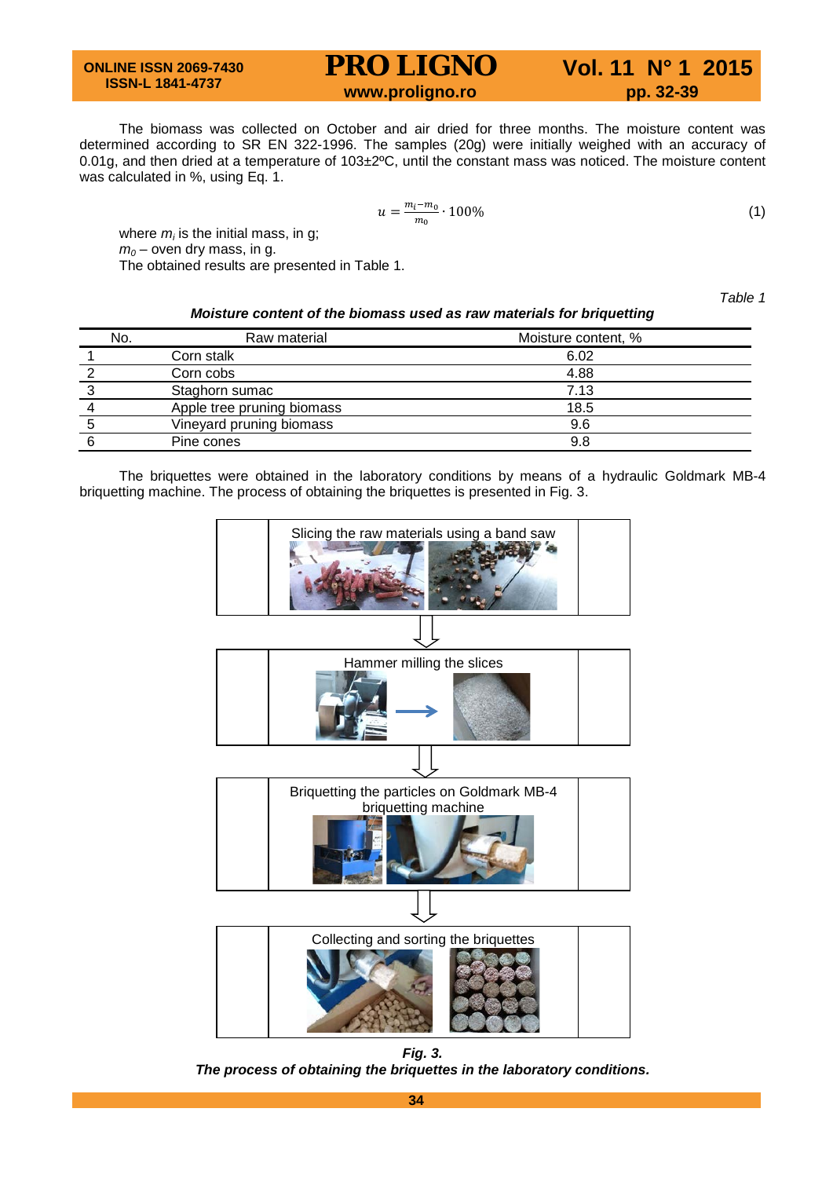## **PRO LIGNO** Vol. 11 N° 1 2015<br>www.proligno.ro pp. 32-39

The biomass was collected on October and air dried for three months. The moisture content was determined according to SR EN 322-1996. The samples (20g) were initially weighed with an accuracy of 0.01g, and then dried at a temperature of 103±2ºC, until the constant mass was noticed. The moisture content was calculated in %, using Eq. 1.

$$
u = \frac{m_i - m_0}{m_0} \cdot 100\%
$$
 (1)

where  $m_i$  is the initial mass, in g;  $m_0$  – oven dry mass, in g.

The obtained results are presented in Table 1.

*Table 1* 

| Moisture content of the biomass used as raw materials for briquetting |  |
|-----------------------------------------------------------------------|--|
|-----------------------------------------------------------------------|--|

| No. | Raw material               | Moisture content, % |
|-----|----------------------------|---------------------|
|     | Corn stalk                 | 6.02                |
|     | Corn cobs                  | 4.88                |
|     | Staghorn sumac             | 7.13                |
|     | Apple tree pruning biomass | 18.5                |
|     | Vineyard pruning biomass   | 9.6                 |
|     | Pine cones                 | 9.8                 |

The briquettes were obtained in the laboratory conditions by means of a hydraulic Goldmark MB-4 briquetting machine. The process of obtaining the briquettes is presented in Fig. 3.



*Fig. 3. The process of obtaining the briquettes in the laboratory conditions.*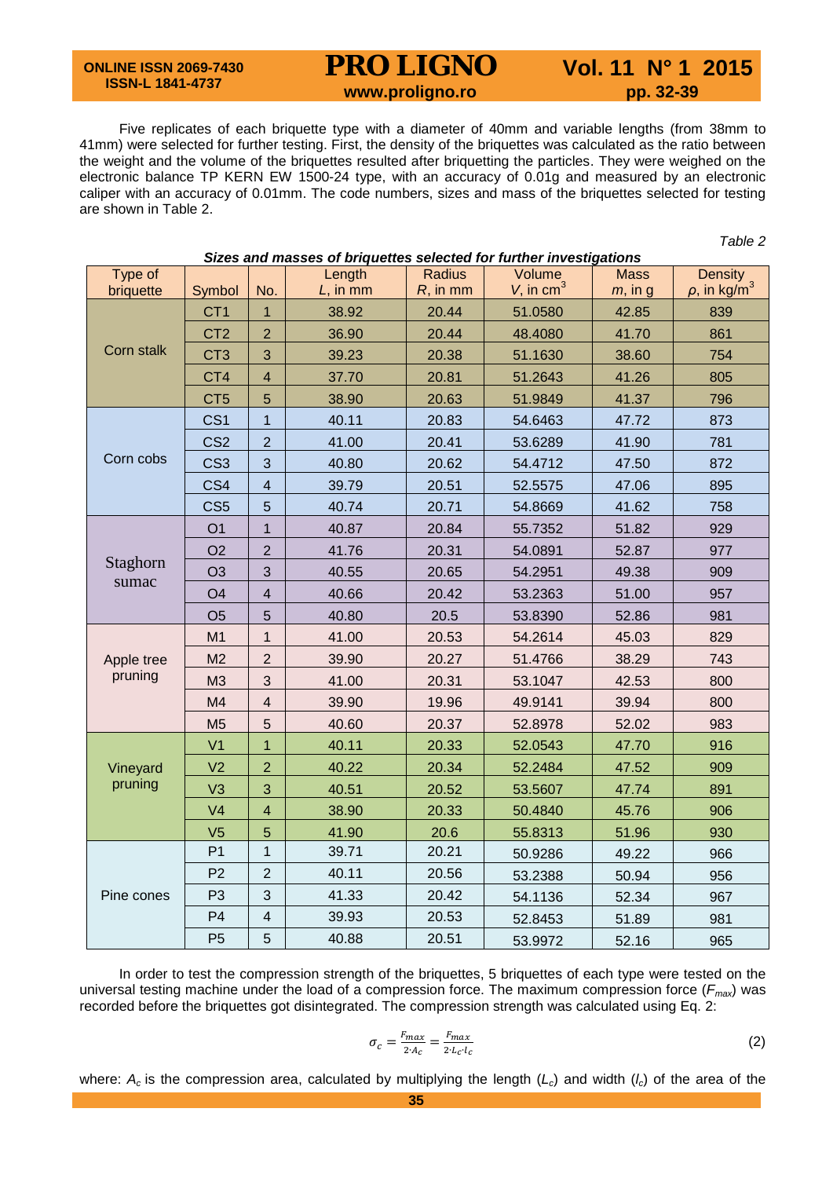## **PRO LIGNO** Vol. 11 N° 1 2015<br>www.proligno.ro pp. 32-39

*Table 2*

Five replicates of each briquette type with a diameter of 40mm and variable lengths (from 38mm to 41mm) were selected for further testing. First, the density of the briquettes was calculated as the ratio between the weight and the volume of the briquettes resulted after briquetting the particles. They were weighed on the electronic balance TP KERN EW 1500-24 type, with an accuracy of 0.01g and measured by an electronic caliper with an accuracy of 0.01mm. The code numbers, sizes and mass of the briquettes selected for testing are shown in Table 2.

| Sizes and masses of briquettes selected for further investigations |                 |                |             |               |                          |             |                               |  |  |  |
|--------------------------------------------------------------------|-----------------|----------------|-------------|---------------|--------------------------|-------------|-------------------------------|--|--|--|
| Type of                                                            |                 |                | Length      | <b>Radius</b> | Volume                   | <b>Mass</b> | Density                       |  |  |  |
| briquette                                                          | Symbol          | No.            | $L$ , in mm | $R$ , in mm   | $V$ , in cm <sup>3</sup> | $m$ , in g  | $\rho$ , in kg/m <sup>3</sup> |  |  |  |
|                                                                    | CT <sub>1</sub> | $\mathbf{1}$   | 38.92       | 20.44         | 51.0580                  | 42.85       | 839                           |  |  |  |
|                                                                    | CT <sub>2</sub> | $\overline{2}$ | 36.90       | 20.44         | 48.4080                  | 41.70       | 861                           |  |  |  |
| Corn stalk                                                         | CT <sub>3</sub> | 3              | 39.23       | 20.38         | 51.1630                  | 38.60       | 754                           |  |  |  |
|                                                                    | CT4             | $\overline{4}$ | 37.70       | 20.81         | 51.2643                  | 41.26       | 805                           |  |  |  |
|                                                                    | CT <sub>5</sub> | 5              | 38.90       | 20.63         | 51.9849                  | 41.37       | 796                           |  |  |  |
|                                                                    | CS <sub>1</sub> | $\overline{1}$ | 40.11       | 20.83         | 54.6463                  | 47.72       | 873                           |  |  |  |
|                                                                    | CS <sub>2</sub> | $\overline{2}$ | 41.00       | 20.41         | 53.6289                  | 41.90       | 781                           |  |  |  |
| Corn cobs                                                          | CS <sub>3</sub> | 3              | 40.80       | 20.62         | 54.4712                  | 47.50       | 872                           |  |  |  |
|                                                                    | CS4             | $\overline{4}$ | 39.79       | 20.51         | 52.5575                  | 47.06       | 895                           |  |  |  |
|                                                                    | CS <sub>5</sub> | 5              | 40.74       | 20.71         | 54.8669                  | 41.62       | 758                           |  |  |  |
|                                                                    | O <sub>1</sub>  | $\mathbf{1}$   | 40.87       | 20.84         | 55.7352                  | 51.82       | 929                           |  |  |  |
|                                                                    | O <sub>2</sub>  | $\overline{2}$ | 41.76       | 20.31         | 54.0891                  | 52.87       | 977                           |  |  |  |
| Staghorn                                                           | O <sub>3</sub>  | 3              | 40.55       | 20.65         | 54.2951                  | 49.38       | 909                           |  |  |  |
| sumac                                                              | O <sub>4</sub>  | $\overline{4}$ | 40.66       | 20.42         | 53.2363                  | 51.00       | 957                           |  |  |  |
|                                                                    | O <sub>5</sub>  | 5              | 40.80       | 20.5          | 53.8390                  | 52.86       | 981                           |  |  |  |
|                                                                    | M <sub>1</sub>  | 1              | 41.00       | 20.53         | 54.2614                  | 45.03       | 829                           |  |  |  |
| Apple tree                                                         | M <sub>2</sub>  | $\overline{2}$ | 39.90       | 20.27         | 51.4766                  | 38.29       | 743                           |  |  |  |
| pruning                                                            | M <sub>3</sub>  | 3              | 41.00       | 20.31         | 53.1047                  | 42.53       | 800                           |  |  |  |
|                                                                    | M4              | $\overline{4}$ | 39.90       | 19.96         | 49.9141                  | 39.94       | 800                           |  |  |  |
|                                                                    | M <sub>5</sub>  | 5              | 40.60       | 20.37         | 52.8978                  | 52.02       | 983                           |  |  |  |
|                                                                    | V <sub>1</sub>  | $\mathbf{1}$   | 40.11       | 20.33         | 52.0543                  | 47.70       | 916                           |  |  |  |
| Vineyard                                                           | V <sub>2</sub>  | $\overline{2}$ | 40.22       | 20.34         | 52.2484                  | 47.52       | 909                           |  |  |  |
| pruning                                                            | V3              | 3              | 40.51       | 20.52         | 53.5607                  | 47.74       | 891                           |  |  |  |
|                                                                    | V <sub>4</sub>  | $\overline{4}$ | 38.90       | 20.33         | 50.4840                  | 45.76       | 906                           |  |  |  |
|                                                                    | V <sub>5</sub>  | 5              | 41.90       | 20.6          | 55.8313                  | 51.96       | 930                           |  |  |  |
|                                                                    | P <sub>1</sub>  | $\mathbf{1}$   | 39.71       | 20.21         | 50.9286                  | 49.22       | 966                           |  |  |  |
|                                                                    | P <sub>2</sub>  | $\overline{2}$ | 40.11       | 20.56         | 53.2388                  | 50.94       | 956                           |  |  |  |
| Pine cones                                                         | P <sub>3</sub>  | 3              | 41.33       | 20.42         | 54.1136                  | 52.34       | 967                           |  |  |  |
|                                                                    | P <sub>4</sub>  | $\overline{4}$ | 39.93       | 20.53         | 52.8453                  | 51.89       | 981                           |  |  |  |
|                                                                    | P <sub>5</sub>  | 5              | 40.88       | 20.51         | 53.9972                  | 52.16       | 965                           |  |  |  |

In order to test the compression strength of the briquettes, 5 briquettes of each type were tested on the universal testing machine under the load of a compression force. The maximum compression force (*Fmax*) was recorded before the briquettes got disintegrated. The compression strength was calculated using Eq. 2:

$$
\sigma_c = \frac{F_{max}}{2 \cdot A_c} = \frac{F_{max}}{2 \cdot L_c \cdot L_c} \tag{2}
$$

where:  $A_c$  is the compression area, calculated by multiplying the length ( $L_c$ ) and width ( $l_c$ ) of the area of the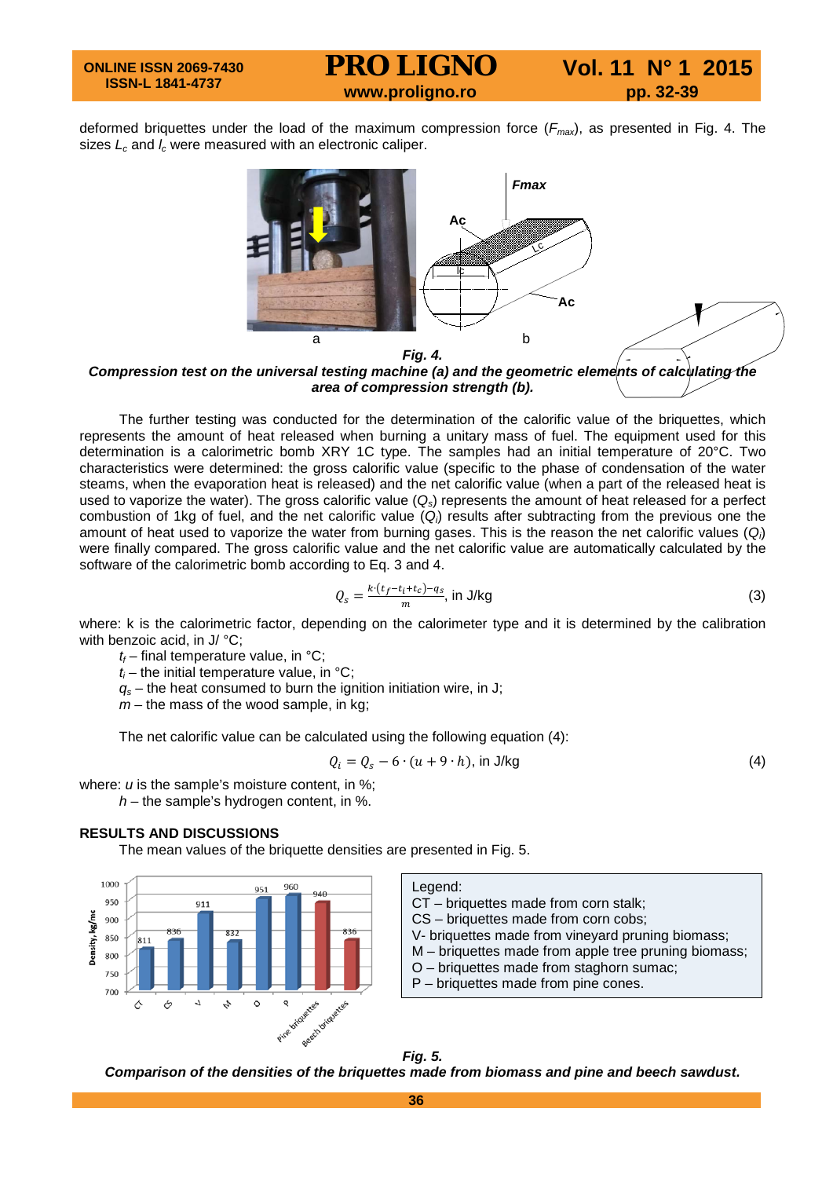### **PRO LIGNO** Vol. 11 N° 1 2015<br>www.proligno.ro pp. 32-39

deformed briquettes under the load of the maximum compression force (*Fmax*), as presented in Fig. 4. The sizes  $L_c$  and  $I_c$  were measured with an electronic caliper.



*Compression test on the universal testing machine (a) and the geometric elements of calculating the area of compression strength (b).*

The further testing was conducted for the determination of the calorific value of the briquettes, which represents the amount of heat released when burning a unitary mass of fuel. The equipment used for this determination is a calorimetric bomb XRY 1C type. The samples had an initial temperature of 20°C. Two characteristics were determined: the gross calorific value (specific to the phase of condensation of the water steams, when the evaporation heat is released) and the net calorific value (when a part of the released heat is used to vaporize the water). The gross calorific value (*Qs*) represents the amount of heat released for a perfect combustion of 1kg of fuel, and the net calorific value (*Qi* ) results after subtracting from the previous one the amount of heat used to vaporize the water from burning gases. This is the reason the net calorific values (*Qi* ) were finally compared. The gross calorific value and the net calorific value are automatically calculated by the software of the calorimetric bomb according to Eq. 3 and 4.

$$
Q_s = \frac{k \cdot (t_f - t_i + t_c) - q_s}{m}, \text{ in J/kg} \tag{3}
$$

where: k is the calorimetric factor, depending on the calorimeter type and it is determined by the calibration with benzoic acid, in J/ °C:

 $t_f$  – final temperature value, in  $^{\circ}$ C;

 $t_i$  – the initial temperature value, in  $^{\circ}$ C;

 $q_s$  – the heat consumed to burn the ignition initiation wire, in J;

*m* – the mass of the wood sample, in kg;

The net calorific value can be calculated using the following equation (4):

$$
Q_i = Q_s - 6 \cdot (u + 9 \cdot h), \text{ in J/kg}
$$
 (4)

where: *u* is the sample's moisture content, in %;

*h* – the sample's hydrogen content, in %.

### **RESULTS AND DISCUSSIONS**

The mean values of the briquette densities are presented in Fig. 5.



Legend: CT – briquettes made from corn stalk; CS – briquettes made from corn cobs; V- briquettes made from vineyard pruning biomass; M – briquettes made from apple tree pruning biomass; O – briquettes made from staghorn sumac; P – briquettes made from pine cones.



*Comparison of the densities of the briquettes made from biomass and pine and beech sawdust.*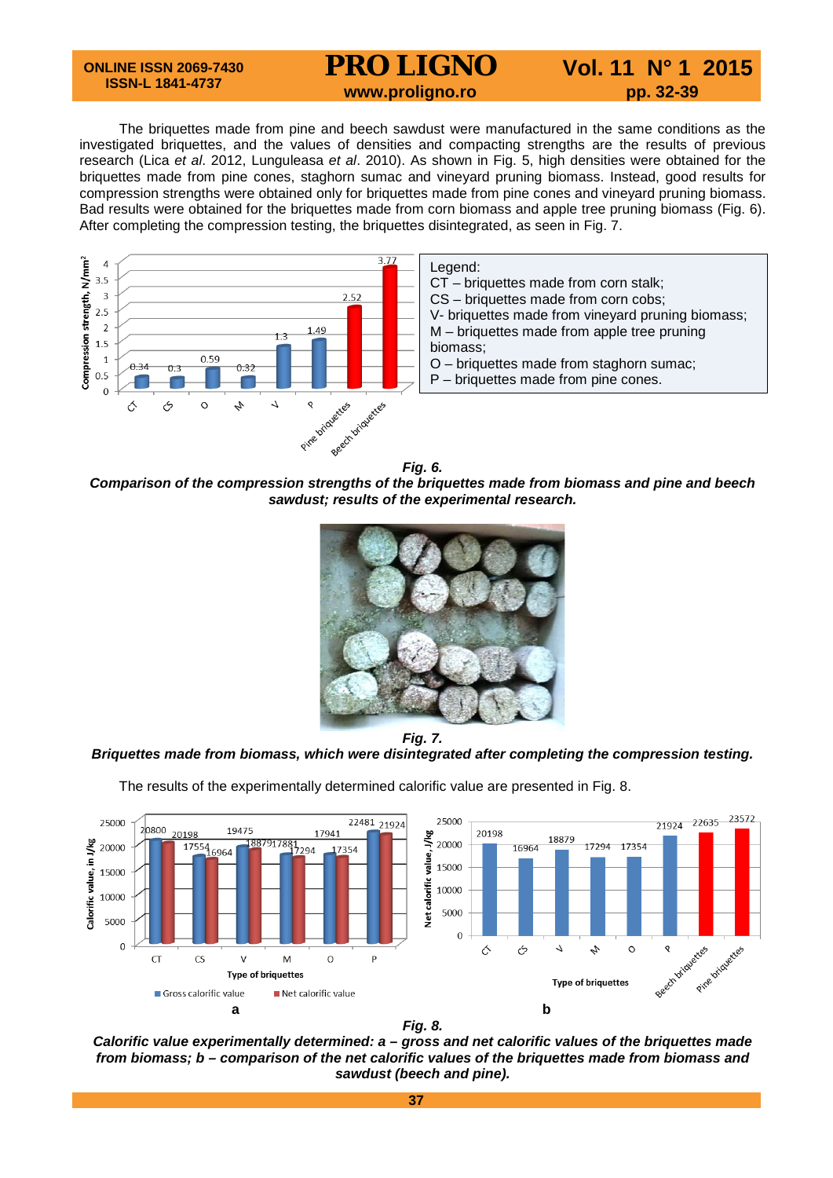### **PRO LIGNO** Vol. 11 N° 1 2015<br>www.proligno.ro pp. 32-39

The briquettes made from pine and beech sawdust were manufactured in the same conditions as the investigated briquettes, and the values of densities and compacting strengths are the results of previous research (Lica *et al*. 2012, Lunguleasa *et al*. 2010). As shown in Fig. 5, high densities were obtained for the briquettes made from pine cones, staghorn sumac and vineyard pruning biomass. Instead, good results for compression strengths were obtained only for briquettes made from pine cones and vineyard pruning biomass. Bad results were obtained for the briquettes made from corn biomass and apple tree pruning biomass (Fig. 6). After completing the compression testing, the briquettes disintegrated, as seen in Fig. 7.



*Comparison of the compression strengths of the briquettes made from biomass and pine and beech sawdust; results of the experimental research.*



*Fig. 7.*

### *Briquettes made from biomass, which were disintegrated after completing the compression testing.*

The results of the experimentally determined calorific value are presented in Fig. 8.





*Calorific value experimentally determined: a – gross and net calorific values of the briquettes made from biomass; b – comparison of the net calorific values of the briquettes made from biomass and sawdust (beech and pine).*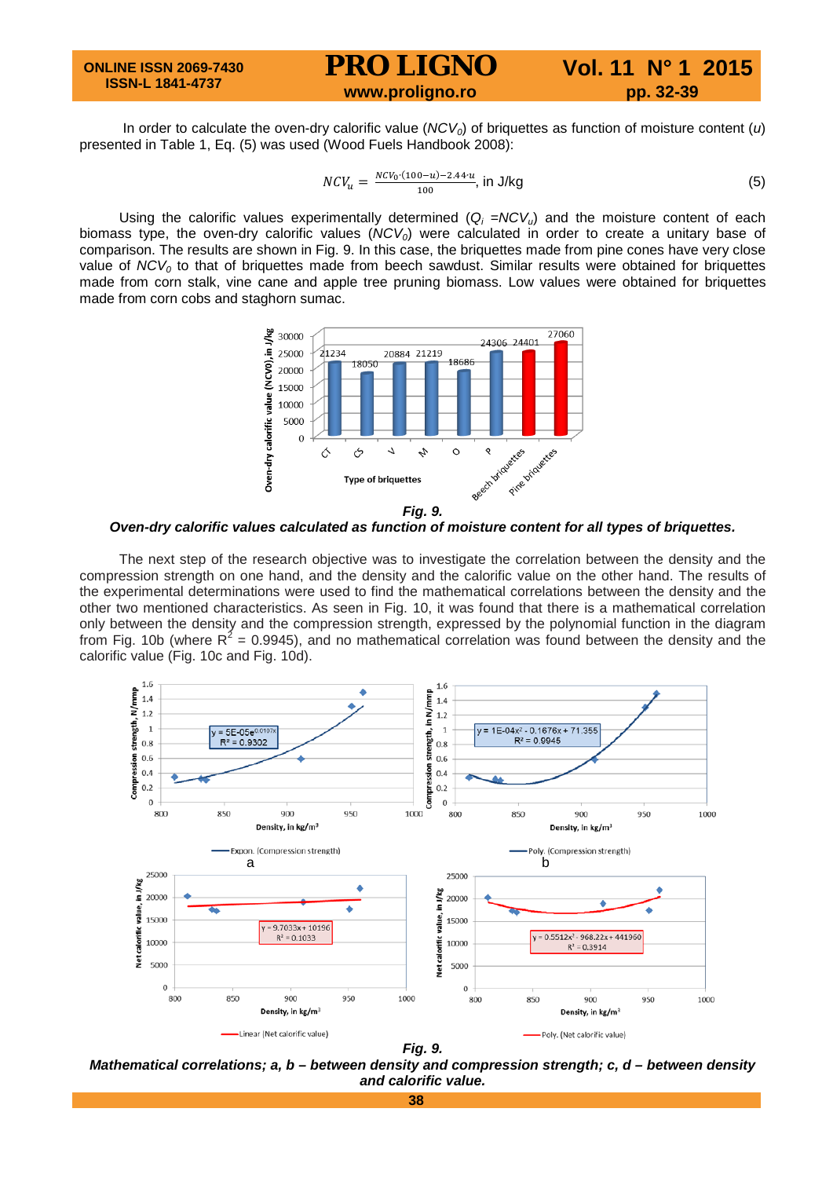### **ONLINE ISSN 2069-7430 ISSN-L 1841-4737 PRO LIGNO** Vol. 11 N° 1 2015<br>www.proligno.ro pp. 32-39

In order to calculate the oven-dry calorific value (*NCV<sub>0</sub>*) of briquettes as function of moisture content (*u*) presented in Table 1, Eq. (5) was used (Wood Fuels Handbook 2008):

$$
NCV_u = \frac{NCV_0 \cdot (100 - u) - 2.44 \cdot u}{100}
$$
, in J/kg (5)

Using the calorific values experimentally determined  $(Q_i = NCV_{ij})$  and the moisture content of each biomass type, the oven-dry calorific values (*NCV0*) were calculated in order to create a unitary base of comparison. The results are shown in Fig. 9. In this case, the briquettes made from pine cones have very close value of *NCV<sub>0</sub>* to that of briquettes made from beech sawdust. Similar results were obtained for briquettes made from corn stalk, vine cane and apple tree pruning biomass. Low values were obtained for briquettes made from corn cobs and staghorn sumac.



*Oven-dry calorific values calculated as function of moisture content for all types of briquettes.*

The next step of the research objective was to investigate the correlation between the density and the compression strength on one hand, and the density and the calorific value on the other hand. The results of the experimental determinations were used to find the mathematical correlations between the density and the other two mentioned characteristics. As seen in Fig. 10, it was found that there is a mathematical correlation only between the density and the compression strength, expressed by the polynomial function in the diagram from Fig. 10b (where  $R^2 = 0.9945$ ), and no mathematical correlation was found between the density and the calorific value (Fig. 10c and Fig. 10d).



*Mathematical correlations; a, b – between density and compression strength; c, d – between density and calorific value.*

**38**